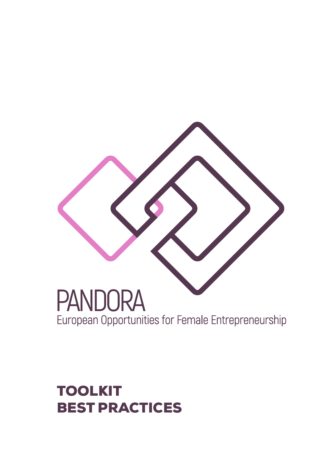

### TOOLKIT BEST PRACTICES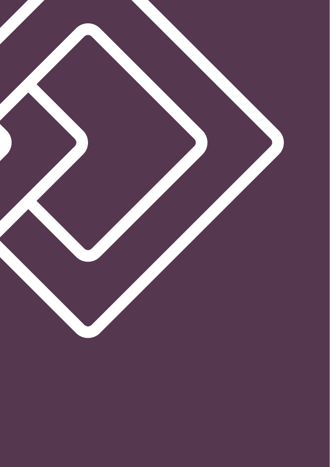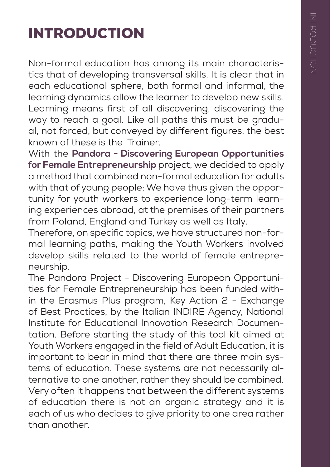## INTRODUCTION

Non-formal education has among its main characteristics that of developing transversal skills. It is clear that in each educational sphere, both formal and informal, the learning dynamics allow the learner to develop new skills. Learning means first of all discovering, discovering the way to reach a goal. Like all paths this must be gradual, not forced, but conveyed by different figures, the best known of these is the Trainer.

With the **Pandora - Discovering European Opportunities for Female Entrepreneurship** project, we decided to apply a method that combined non-formal education for adults with that of young people; We have thus given the opportunity for youth workers to experience long-term learning experiences abroad, at the premises of their partners from Poland, England and Turkey as well as Italy.

Therefore, on specific topics, we have structured non-formal learning paths, making the Youth Workers involved develop skills related to the world of female entrepreneurship.

The Pandora Project - Discovering European Opportunities for Female Entrepreneurship has been funded within the Erasmus Plus program, Key Action 2 - Exchange of Best Practices, by the Italian INDIRE Agency, National Institute for Educational Innovation Research Documentation. Before starting the study of this tool kit aimed at Youth Workers engaged in the field of Adult Education, it is important to bear in mind that there are three main systems of education. These systems are not necessarily alternative to one another, rather they should be combined. Very often it happens that between the different systems of education there is not an organic strategy and it is each of us who decides to give priority to one area rather than another.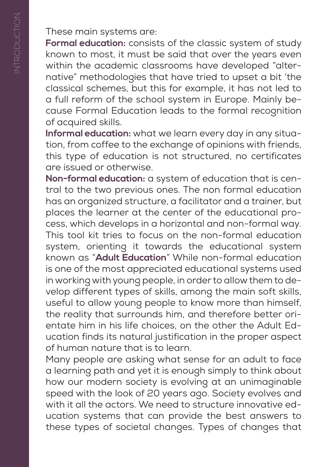These main systems are:

**Formal education:** consists of the classic system of study known to most, it must be said that over the years even within the academic classrooms have developed "alternative" methodologies that have tried to upset a bit 'the classical schemes, but this for example, it has not led to a full reform of the school system in Europe. Mainly because Formal Education leads to the formal recognition of acquired skills.

**Informal education:** what we learn every day in any situation, from coffee to the exchange of opinions with friends, this type of education is not structured, no certificates are issued or otherwise.

**Non-formal education:** a system of education that is central to the two previous ones. The non formal education has an organized structure, a facilitator and a trainer, but places the learner at the center of the educational process, which develops in a horizontal and non-formal way. This tool kit tries to focus on the non-formal education system, orienting it towards the educational system known as "**Adult Education**" While non-formal education is one of the most appreciated educational systems used in working with young people, in order to allow them to develop different types of skills, among the main soft skills, useful to allow young people to know more than himself, the reality that surrounds him, and therefore better orientate him in his life choices, on the other the Adult Education finds its natural justification in the proper aspect of human nature that is to learn.

Many people are asking what sense for an adult to face a learning path and yet it is enough simply to think about how our modern society is evolving at an unimaginable speed with the look of 20 years ago. Society evolves and with it all the actors. We need to structure innovative education systems that can provide the best answers to these types of societal changes. Types of changes that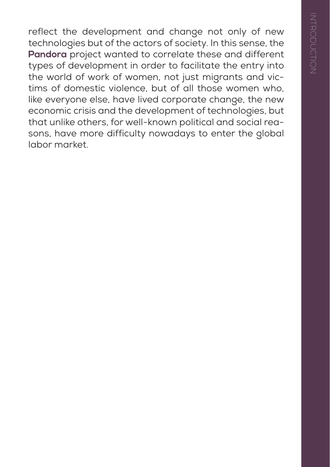reflect the development and change not only of new technologies but of the actors of society. In this sense, the **Pandora** project wanted to correlate these and different types of development in order to facilitate the entry into the world of work of women, not just migrants and victims of domestic violence, but of all those women who, like everyone else, have lived corporate change, the new economic crisis and the development of technologies, but that unlike others, for well-known political and social reasons, have more difficulty nowadays to enter the global labor market.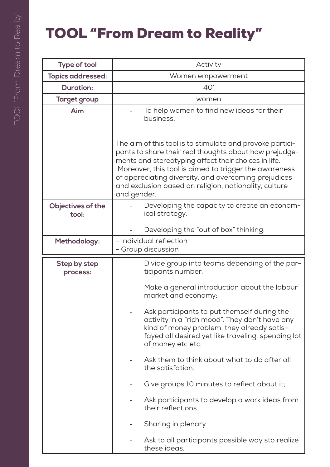## TOOL "From Dream to Reality"

| Type of tool               | Activity                                                                                                                                                                                                                                                                                                                                                             |  |
|----------------------------|----------------------------------------------------------------------------------------------------------------------------------------------------------------------------------------------------------------------------------------------------------------------------------------------------------------------------------------------------------------------|--|
| <b>Topics addressed:</b>   | Women empowerment                                                                                                                                                                                                                                                                                                                                                    |  |
| <b>Duration:</b>           | 40'                                                                                                                                                                                                                                                                                                                                                                  |  |
| <b>Target group</b>        | women                                                                                                                                                                                                                                                                                                                                                                |  |
| Aim                        | To help women to find new ideas for their<br>business.                                                                                                                                                                                                                                                                                                               |  |
|                            | The aim of this tool is to stimulate and provoke partici-<br>pants to share their real thoughts about how prejudge-<br>ments and stereotyping affect their choices in life.<br>Moreover, this tool is aimed to trigger the awareness<br>of appreciating diversity, and overcoming prejudices<br>and exclusion based on religion, nationality, culture<br>and gender. |  |
| Objectives of the<br>tool: | Developing the capacity to create an econom-<br>ical strategy.                                                                                                                                                                                                                                                                                                       |  |
|                            | Developing the "out of box" thinking.                                                                                                                                                                                                                                                                                                                                |  |
| Methodology:               | - Individual reflection<br>- Group discussion                                                                                                                                                                                                                                                                                                                        |  |
|                            |                                                                                                                                                                                                                                                                                                                                                                      |  |
| Step by step<br>process:   | Divide group into teams depending of the par-<br>ticipants number.                                                                                                                                                                                                                                                                                                   |  |
|                            | Make a general introduction about the labour<br>market and economy;                                                                                                                                                                                                                                                                                                  |  |
|                            | Ask participants to put themself during the<br>activity in a "rich mood". They don't have any<br>kind of money problem, they already satis-<br>fayed all desired yet like traveling, spending lot<br>of money etc etc.                                                                                                                                               |  |
|                            | Ask them to think about what to do after all<br>the satisfation.                                                                                                                                                                                                                                                                                                     |  |
|                            | Give groups 10 minutes to reflect about it;                                                                                                                                                                                                                                                                                                                          |  |
|                            | Ask participants to develop a work ideas from<br>their reflections.                                                                                                                                                                                                                                                                                                  |  |
|                            | Sharing in plenary                                                                                                                                                                                                                                                                                                                                                   |  |
|                            | Ask to all participants possible way sto realize<br>these ideas.                                                                                                                                                                                                                                                                                                     |  |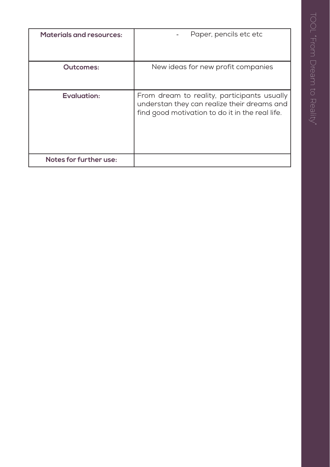| <b>Materials and resources:</b> | Paper, pencils etc etc                                                                                                                        |
|---------------------------------|-----------------------------------------------------------------------------------------------------------------------------------------------|
| Outcomes:                       | New ideas for new profit companies                                                                                                            |
| Evaluation:                     | From dream to reality, participants usually<br>understan they can realize their dreams and<br>find good motivation to do it in the real life. |
| Notes for further use:          |                                                                                                                                               |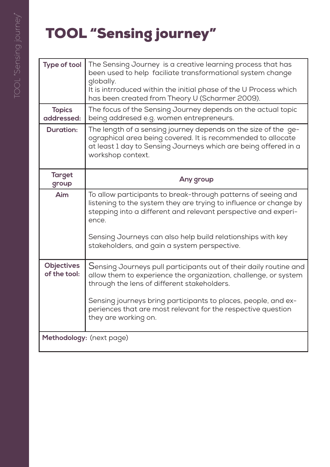# TOOL "Sensing journey"

| <b>Type of tool</b>               | The Sensing Journey is a creative learning process that has<br>been used to help faciliate transformational system change<br>globally.<br>It is intrroduced within the initial phase of the U Process which<br>has been created from Theory U (Scharmer 2009).                                                                                |
|-----------------------------------|-----------------------------------------------------------------------------------------------------------------------------------------------------------------------------------------------------------------------------------------------------------------------------------------------------------------------------------------------|
| <b>Topics</b><br>addressed:       | The focus of the Sensing Journey depends on the actual topic<br>being addresed e.g. women entrepreneurs.                                                                                                                                                                                                                                      |
| <b>Duration:</b>                  | The length of a sensing journey depends on the size of the ge-<br>ographical area being covered. It is recommended to allocate<br>at least 1 day to Sensing Journeys which are being offered in a<br>workshop context.                                                                                                                        |
| <b>Target</b><br>group            | Any group                                                                                                                                                                                                                                                                                                                                     |
| Aim                               | To allow participants to break-through patterns of seeing and<br>listening to the system they are trying to influence or change by<br>stepping into a different and relevant perspective and experi-<br>ence.<br>Sensing Journeys can also help build relationships with key<br>stakeholders, and gain a system perspective.                  |
| <b>Objectives</b><br>of the tool: | Sensing Journeys pull participants out of their daily routine and<br>allow them to experience the organization, challenge, or system<br>through the lens of different stakeholders.<br>Sensing journeys bring participants to places, people, and ex-<br>periences that are most relevant for the respective question<br>they are working on. |
| Methodology: (next page)          |                                                                                                                                                                                                                                                                                                                                               |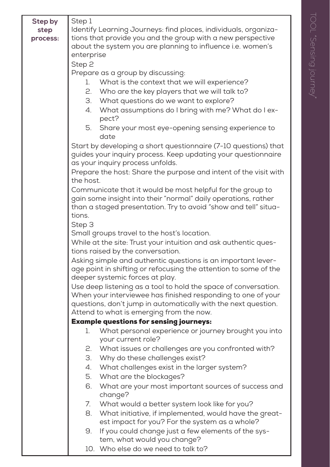| Step by  | Step 1                                                                                                                          |  |  |
|----------|---------------------------------------------------------------------------------------------------------------------------------|--|--|
| step     | Identify Learning Journeys: find places, individuals, organiza-                                                                 |  |  |
| process: | tions that provide you and the group with a new perspective                                                                     |  |  |
|          | about the system you are planning to influence i.e. women's                                                                     |  |  |
|          | enterprise                                                                                                                      |  |  |
|          | Step 2                                                                                                                          |  |  |
|          | Prepare as a group by discussing:                                                                                               |  |  |
|          | 1.<br>What is the context that we will experience?                                                                              |  |  |
|          | 2.<br>Who are the key players that we will talk to?                                                                             |  |  |
|          | З.<br>What questions do we want to explore?                                                                                     |  |  |
|          | 4.<br>What assumptions do I bring with me? What do I ex-                                                                        |  |  |
|          | pect?                                                                                                                           |  |  |
|          | 5.<br>Share your most eye-opening sensing experience to                                                                         |  |  |
|          | date                                                                                                                            |  |  |
|          | Start by developing a short questionnaire (7-10 questions) that                                                                 |  |  |
|          | guides your inquiry process. Keep updating your questionnaire                                                                   |  |  |
|          | as your inquiry process unfolds.                                                                                                |  |  |
|          | Prepare the host: Share the purpose and intent of the visit with                                                                |  |  |
|          | the host.                                                                                                                       |  |  |
|          | Communicate that it would be most helpful for the group to                                                                      |  |  |
|          | gain some insight into their "normal" daily operations, rather                                                                  |  |  |
|          | than a staged presentation. Try to avoid "show and tell" situa-                                                                 |  |  |
|          | tions.                                                                                                                          |  |  |
|          | Step 3                                                                                                                          |  |  |
|          | Small groups travel to the host's location.                                                                                     |  |  |
|          | While at the site: Trust your intuition and ask authentic ques-                                                                 |  |  |
|          | tions raised by the conversation.                                                                                               |  |  |
|          | Asking simple and authentic questions is an important lever-                                                                    |  |  |
|          | age point in shifting or refocusing the attention to some of the                                                                |  |  |
|          | deeper systemic forces at play.                                                                                                 |  |  |
|          | Use deep listening as a tool to hold the space of conversation.<br>When your interviewee has finished responding to one of your |  |  |
|          | questions, don't jump in automatically with the next question.                                                                  |  |  |
|          | Attend to what is emerging from the now.                                                                                        |  |  |
|          | <b>Example questions for sensing journeys:</b>                                                                                  |  |  |
|          | What personal experience or journey brought you into<br>1.                                                                      |  |  |
|          | your current role?                                                                                                              |  |  |
|          | 2. What issues or challenges are you confronted with?                                                                           |  |  |
|          | З.<br>Why do these challenges exist?                                                                                            |  |  |
|          | 4.                                                                                                                              |  |  |
|          | What challenges exist in the larger system?<br>What are the blockages?<br>5.                                                    |  |  |
|          |                                                                                                                                 |  |  |
|          | 6.<br>What are your most important sources of success and                                                                       |  |  |
|          | change?                                                                                                                         |  |  |
|          | What would a better system look like for you?<br>7.                                                                             |  |  |
|          | 8.<br>What initiative, if implemented, would have the great-                                                                    |  |  |
|          | est impact for you? For the system as a whole?                                                                                  |  |  |
|          | 9.<br>If you could change just a few elements of the sys-                                                                       |  |  |
|          | tem, what would you change?                                                                                                     |  |  |
|          | 10. Who else do we need to talk to?                                                                                             |  |  |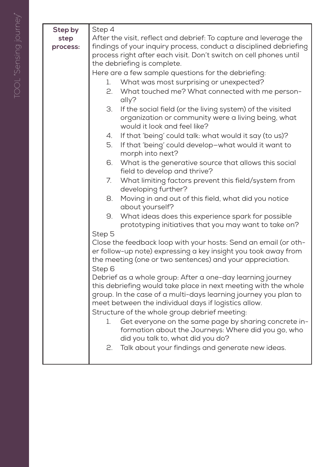| Step by  | Step 4                                                                                                                                                                 |  |
|----------|------------------------------------------------------------------------------------------------------------------------------------------------------------------------|--|
| step     | After the visit, reflect and debrief: To capture and leverage the                                                                                                      |  |
| process: | findings of your inquiry process, conduct a disciplined debriefing<br>process right after each visit. Don't switch on cell phones until<br>the debriefing is complete. |  |
|          | Here are a few sample questions for the debriefing:                                                                                                                    |  |
|          | What was most surprising or unexpected?<br>1.                                                                                                                          |  |
|          | What touched me? What connected with me person-<br>2.<br>ally?                                                                                                         |  |
|          | З.<br>If the social field (or the living system) of the visited<br>organization or community were a living being, what<br>would it look and feel like?                 |  |
|          | If that 'being' could talk: what would it say (to us)?<br>4.                                                                                                           |  |
|          | 5.<br>If that 'being' could develop-what would it want to<br>morph into next?                                                                                          |  |
|          | What is the generative source that allows this social<br>6.<br>field to develop and thrive?                                                                            |  |
|          | 7.<br>What limiting factors prevent this field/system from<br>developing further?                                                                                      |  |
|          | Moving in and out of this field, what did you notice<br>8.<br>about yourself?                                                                                          |  |
|          | What ideas does this experience spark for possible<br>9.<br>prototyping initiatives that you may want to take on?                                                      |  |
|          | Step 5                                                                                                                                                                 |  |
|          | Close the feedback loop with your hosts: Send an email (or oth-                                                                                                        |  |
|          | er follow-up note) expressing a key insight you took away from<br>the meeting (one or two sentences) and your appreciation.                                            |  |
|          | Step 6                                                                                                                                                                 |  |
|          | Debrief as a whole group: After a one-day learning journey                                                                                                             |  |
|          | this debriefing would take place in next meeting with the whole<br>group. In the case of a multi-days learning journey you plan to                                     |  |
|          | meet between the individual days if logistics allow.                                                                                                                   |  |
|          | Structure of the whole group debrief meeting:                                                                                                                          |  |
|          | Get everyone on the same page by sharing concrete in-<br>1.                                                                                                            |  |
|          | formation about the Journeys: Where did you go, who<br>did you talk to, what did you do?                                                                               |  |
|          | Talk about your findings and generate new ideas.<br>2.                                                                                                                 |  |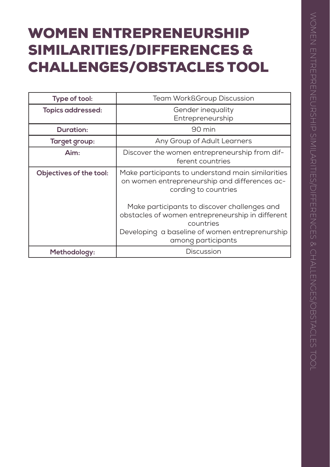#### WOMEN ENTREPRENEURSHIP SIMILARITIES/DIFFERENCES & CHALLENGES/OBSTACLES TOOL

| Type of tool:            | Team Work&Group Discussion                                                                                                                                                            |
|--------------------------|---------------------------------------------------------------------------------------------------------------------------------------------------------------------------------------|
| <b>Topics addressed:</b> | Gender inequality<br>Entrepreneurship                                                                                                                                                 |
| Duration:                | 90 min                                                                                                                                                                                |
| Target group:            | Any Group of Adult Learners                                                                                                                                                           |
| Aim:                     | Discover the women entrepreneurship from dif-<br>ferent countries                                                                                                                     |
| Objectives of the tool:  | Make participants to understand main similarities<br>on women entrepreneurship and differences ac-<br>cording to countries                                                            |
|                          | Make participants to discover challenges and<br>obstacles of women entrepreneurship in different<br>countries<br>Developing a baseline of women entreprenurship<br>among participants |
| Methodology:             | Discussion                                                                                                                                                                            |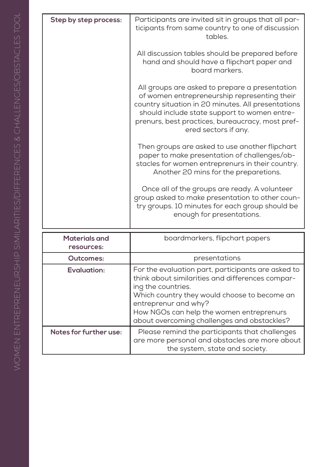| Step by step process:       | Participants are invited sit in groups that all par-<br>ticipants from same country to one of discussion<br>tables.                                                                                                                                                                             |
|-----------------------------|-------------------------------------------------------------------------------------------------------------------------------------------------------------------------------------------------------------------------------------------------------------------------------------------------|
|                             | All discussion tables should be prepared before<br>hand and should have a flipchart paper and<br>board markers.                                                                                                                                                                                 |
|                             | All groups are asked to prepare a presentation<br>of women entrepreneurship representing their<br>country situation in 20 minutes. All presentations<br>should include state support to women entre-<br>prenurs, best practices, bureaucracy, most pref-<br>ered sectors if any.                |
|                             | Then groups are asked to use another flipchart<br>paper to make presentation of challenges/ob-<br>stacles for women entreprenurs in their country.<br>Another 20 mins for the preparetions.                                                                                                     |
|                             | Once all of the groups are ready. A volunteer<br>group asked to make presentation to other coun-<br>try groups. 10 minutes for each group should be<br>enough for presentations.                                                                                                                |
| Materials and<br>resources: | boardmarkers, flipchart papers                                                                                                                                                                                                                                                                  |
| Outcomes:                   | presentations                                                                                                                                                                                                                                                                                   |
| <b>Evaluation:</b>          | For the evaluation part, participants are asked to<br>think about similarities and differences compar-<br>ing the countries.<br>Which country they would choose to become an<br>entreprenur and why?<br>How NGOs can help the women entreprenurs<br>about overcoming challenges and obstackles? |
| Notes for further use:      | Please remind the participants that challenges<br>are more personal and obstacles are more about<br>the system, state and society.                                                                                                                                                              |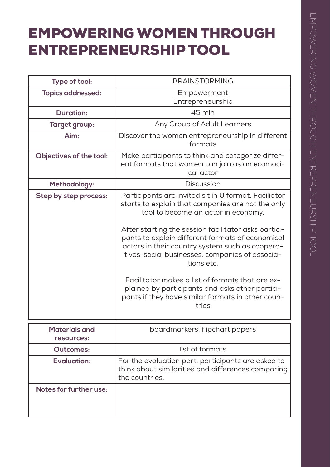#### EMPOWERING WOMEN THROUGH ENTREPRENEURSHIP TOOL

| <b>BRAINSTORMING</b>                                                                                                                                                                                                                                                                                                                                                             |
|----------------------------------------------------------------------------------------------------------------------------------------------------------------------------------------------------------------------------------------------------------------------------------------------------------------------------------------------------------------------------------|
| Empowerment<br>Entrepreneurship                                                                                                                                                                                                                                                                                                                                                  |
| 45 min                                                                                                                                                                                                                                                                                                                                                                           |
| Any Group of Adult Learners                                                                                                                                                                                                                                                                                                                                                      |
| Discover the women entrepreneurship in different<br>formats                                                                                                                                                                                                                                                                                                                      |
| Make participants to think and categorize differ-<br>ent formats that women can join as an ecomoci-<br>cal actor                                                                                                                                                                                                                                                                 |
| Discussion                                                                                                                                                                                                                                                                                                                                                                       |
| Participants are invited sit in U format. Faciliator<br>starts to explain that companies are not the only<br>tool to become an actor in economy.<br>After starting the session facilitator asks partici-<br>pants to explain different formats of economical<br>actors in their country system such as coopera-<br>tives, social businesses, companies of associa-<br>tions etc. |
| Facilitator makes a list of formats that are ex-<br>plained by participants and asks other partici-<br>pants if they have similar formats in other coun-<br>tries                                                                                                                                                                                                                |
|                                                                                                                                                                                                                                                                                                                                                                                  |

| Materials and<br>resources: | boardmarkers, flipchart papers                                                                                             |
|-----------------------------|----------------------------------------------------------------------------------------------------------------------------|
| Outcomes:                   | list of formats                                                                                                            |
| Evaluation:                 | For the evaluation part, participants are asked to<br>think about similarities and differences comparing<br>the countries. |
| Notes for further use:      |                                                                                                                            |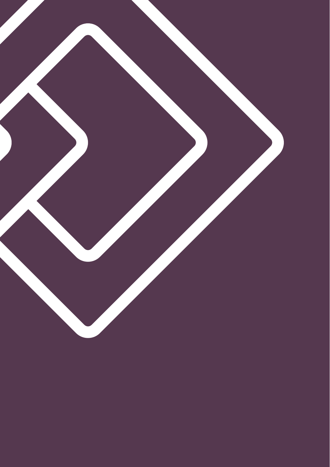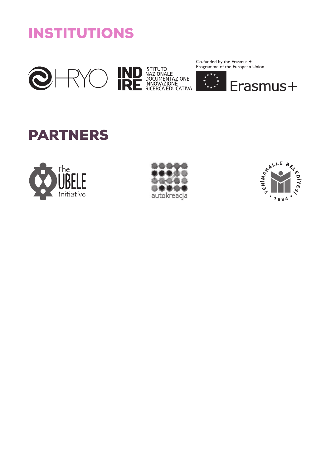#### INSTITUTIONS



Co-funded by the Erasmus + Programme of the European Union



#### PARTNERS